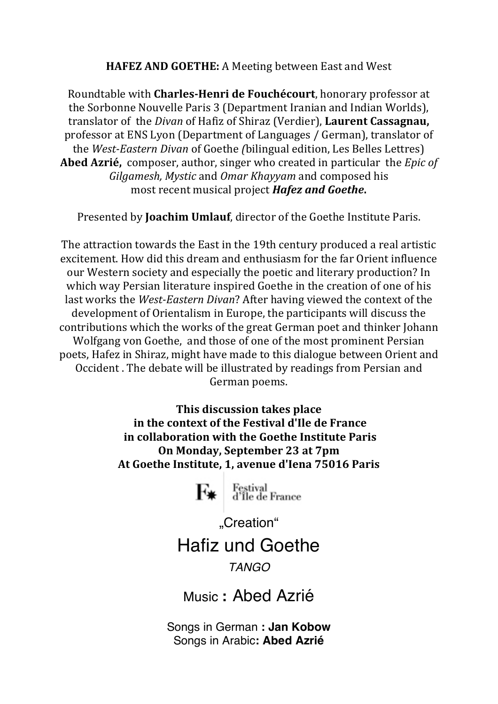**HAFEZ AND GOETHE:** A Meeting between East and West

Roundtable with **Charles-Henri de Fouchécourt**, honorary professor at the Sorbonne Nouvelle Paris 3 (Department Iranian and Indian Worlds), translator of the *Divan* of Hafiz of Shiraz (Verdier), **Laurent Cassagnau,** professor at ENS Lyon (Department of Languages / German), translator of the *West-Eastern Divan* of Goethe *(bilingual edition, Les Belles Lettres)* **Abed Azrié,** composer, author, singer who created in particular the *Epic of Gilgamesh, Mystic* and *Omar Khayyam* and composed his most recent musical project *Hafez and Goethe*.

Presented by **Joachim Umlauf**, director of the Goethe Institute Paris.

The attraction towards the East in the 19th century produced a real artistic excitement. How did this dream and enthusiasm for the far Orient influence our Western society and especially the poetic and literary production? In which way Persian literature inspired Goethe in the creation of one of his last works the *West-Eastern Divan*? After having viewed the context of the development of Orientalism in Europe, the participants will discuss the contributions which the works of the great German poet and thinker Johann Wolfgang von Goethe, and those of one of the most prominent Persian poets, Hafez in Shiraz, might have made to this dialogue between Orient and Occident . The debate will be illustrated by readings from Persian and German poems.

> **This discussion takes place in the context of the Festival d'Ile de France in collaboration with the Goethe Institute Paris On Monday, September 23 at 7pm At Goethe Institute, 1, avenue d'Iena 75016 Paris**

> > Festival<br>d'Île de France ŀ¥

> > > "Creation"

## Hafiz und Goethe

## *TANGO*

Music **:** Abed Azrié

Songs in German **: Jan Kobow** Songs in Arabic**: Abed Azrié**